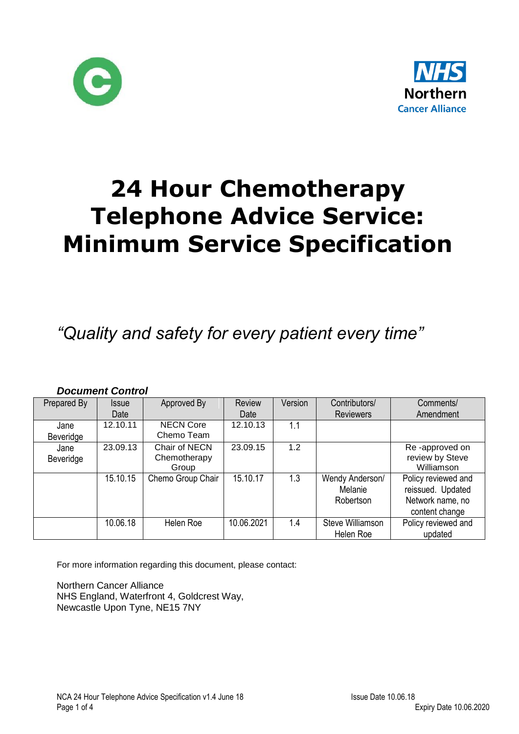



# **24 Hour Chemotherapy Telephone Advice Service: Minimum Service Specification**

## *"Quality and safety for every patient every time"*

#### *Document Control* Prepared By | Issue Date Approved By | Review Date Version | Contributors/ **Reviewers** Comments/ Amendment Jane Beveridge 12.10.11 NECN Core Chemo Team  $12.10.13$  1.1 Jane Beveridge 23.09.13 Chair of NECN **Chemotherapy** Group 23.09.15 1.2 Re -approved on review by Steve Williamson 15.10.15 | Chemo Group Chair | 15.10.17 | 1.3 | Wendy Anderson/ Melanie Robertson Policy reviewed and reissued. Updated Network name, no content change 10.06.18 Helen Roe 10.06.2021 1.4 Steve Williamson Helen Roe Policy reviewed and updated

For more information regarding this document, please contact:

Northern Cancer Alliance NHS England, Waterfront 4, Goldcrest Way, Newcastle Upon Tyne, NE15 7NY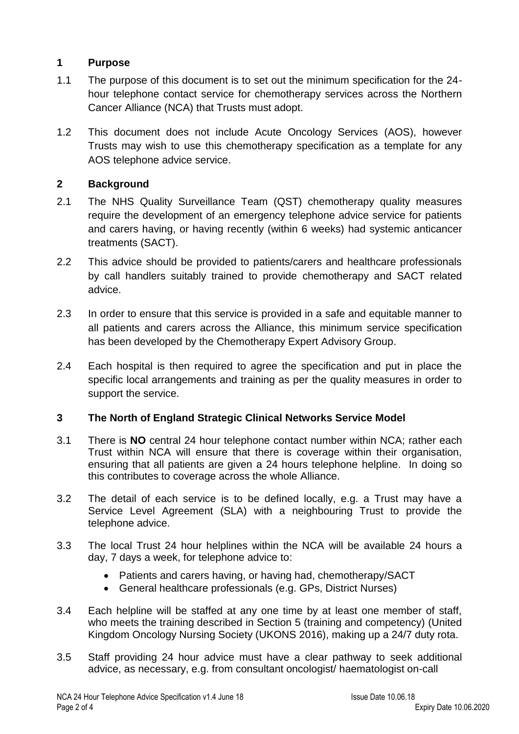### **1 Purpose**

- 1.1 The purpose of this document is to set out the minimum specification for the 24 hour telephone contact service for chemotherapy services across the Northern Cancer Alliance (NCA) that Trusts must adopt.
- 1.2 This document does not include Acute Oncology Services (AOS), however Trusts may wish to use this chemotherapy specification as a template for any AOS telephone advice service.

### **2 Background**

- 2.1 The NHS Quality Surveillance Team (QST) chemotherapy quality measures require the development of an emergency telephone advice service for patients and carers having, or having recently (within 6 weeks) had systemic anticancer treatments (SACT).
- 2.2 This advice should be provided to patients/carers and healthcare professionals by call handlers suitably trained to provide chemotherapy and SACT related advice.
- 2.3 In order to ensure that this service is provided in a safe and equitable manner to all patients and carers across the Alliance, this minimum service specification has been developed by the Chemotherapy Expert Advisory Group.
- 2.4 Each hospital is then required to agree the specification and put in place the specific local arrangements and training as per the quality measures in order to support the service.

### **3 The North of England Strategic Clinical Networks Service Model**

- 3.1 There is **NO** central 24 hour telephone contact number within NCA; rather each Trust within NCA will ensure that there is coverage within their organisation, ensuring that all patients are given a 24 hours telephone helpline. In doing so this contributes to coverage across the whole Alliance.
- 3.2 The detail of each service is to be defined locally, e.g. a Trust may have a Service Level Agreement (SLA) with a neighbouring Trust to provide the telephone advice.
- 3.3 The local Trust 24 hour helplines within the NCA will be available 24 hours a day, 7 days a week, for telephone advice to:
	- Patients and carers having, or having had, chemotherapy/SACT
	- General healthcare professionals (e.g. GPs, District Nurses)
- 3.4 Each helpline will be staffed at any one time by at least one member of staff, who meets the training described in Section 5 (training and competency) (United Kingdom Oncology Nursing Society (UKONS 2016), making up a 24/7 duty rota.
- 3.5 Staff providing 24 hour advice must have a clear pathway to seek additional advice, as necessary, e.g. from consultant oncologist/ haematologist on-call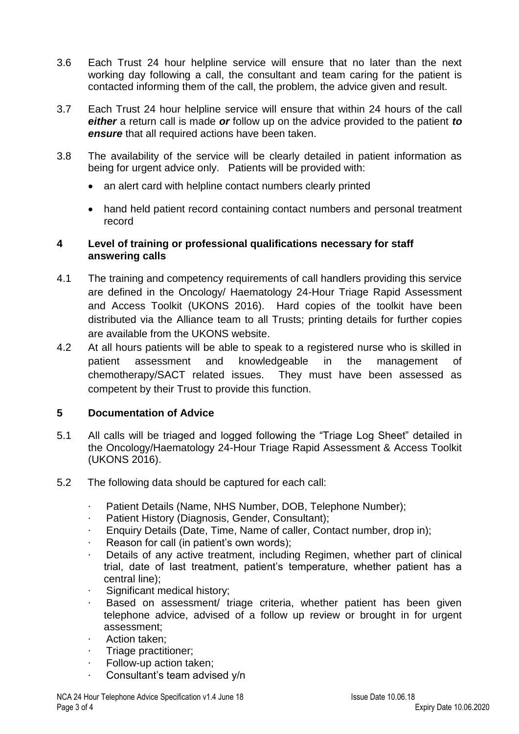- 3.6 Each Trust 24 hour helpline service will ensure that no later than the next working day following a call, the consultant and team caring for the patient is contacted informing them of the call, the problem, the advice given and result.
- 3.7 Each Trust 24 hour helpline service will ensure that within 24 hours of the call *either* a return call is made *or* follow up on the advice provided to the patient *to ensure* that all required actions have been taken.
- 3.8 The availability of the service will be clearly detailed in patient information as being for urgent advice only. Patients will be provided with:
	- an alert card with helpline contact numbers clearly printed
	- hand held patient record containing contact numbers and personal treatment record

#### **4 Level of training or professional qualifications necessary for staff answering calls**

- 4.1 The training and competency requirements of call handlers providing this service are defined in the Oncology/ Haematology 24-Hour Triage Rapid Assessment and Access Toolkit (UKONS 2016). Hard copies of the toolkit have been distributed via the Alliance team to all Trusts; printing details for further copies are available from the UKONS website.
- 4.2 At all hours patients will be able to speak to a registered nurse who is skilled in patient assessment and knowledgeable in the management of chemotherapy/SACT related issues. They must have been assessed as competent by their Trust to provide this function.

#### **5 Documentation of Advice**

- 5.1 All calls will be triaged and logged following the "Triage Log Sheet" detailed in the Oncology/Haematology 24-Hour Triage Rapid Assessment & Access Toolkit (UKONS 2016).
- 5.2 The following data should be captured for each call:
	- Patient Details (Name, NHS Number, DOB, Telephone Number);
	- Patient History (Diagnosis, Gender, Consultant);
	- · Enquiry Details (Date, Time, Name of caller, Contact number, drop in);
	- Reason for call (in patient's own words);
	- Details of any active treatment, including Regimen, whether part of clinical trial, date of last treatment, patient's temperature, whether patient has a central line);
	- Significant medical history;
	- Based on assessment/ triage criteria, whether patient has been given telephone advice, advised of a follow up review or brought in for urgent assessment;
	- Action taken:
	- · Triage practitioner;
	- Follow-up action taken;
	- Consultant's team advised y/n